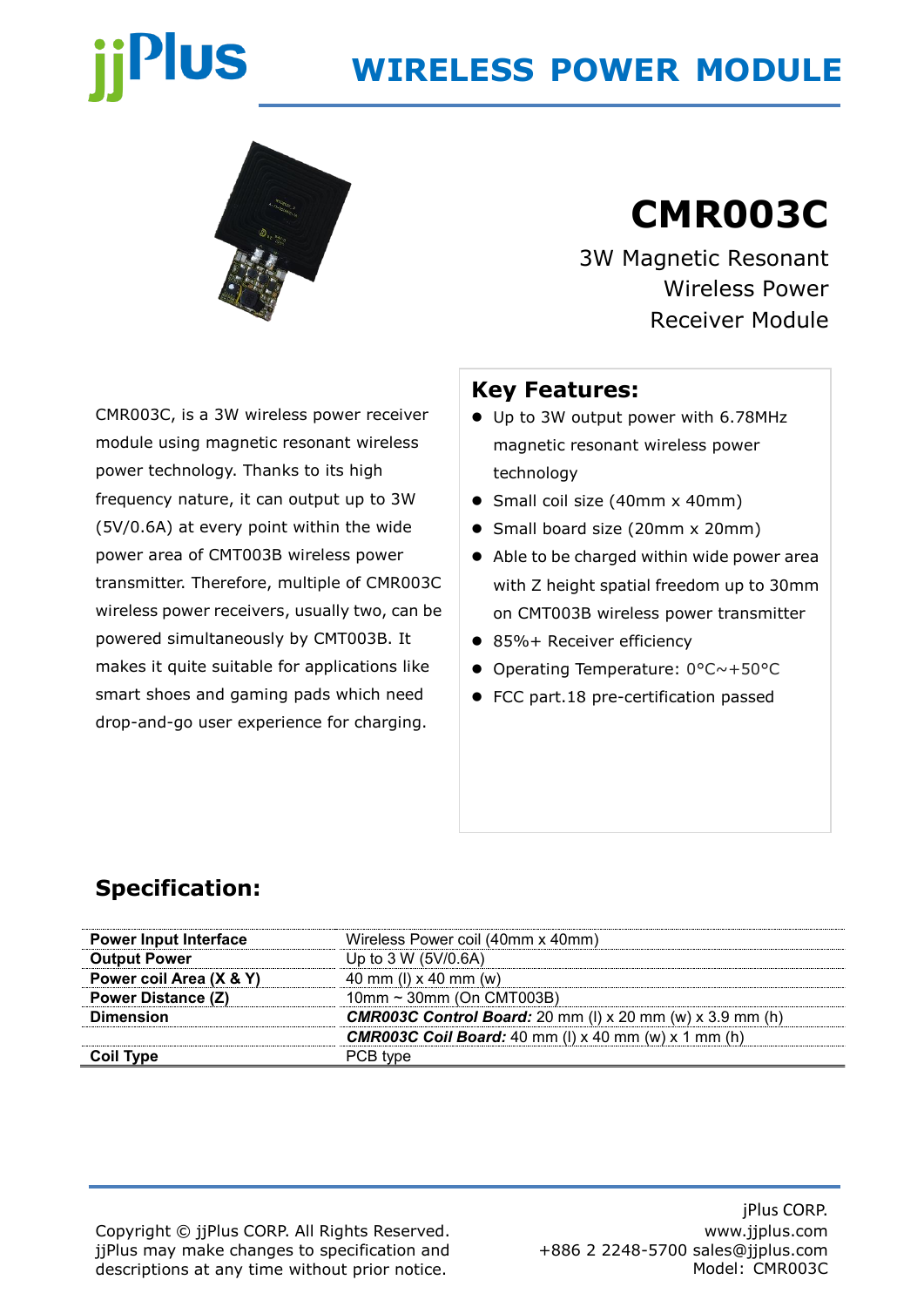# **US**

### **WIRELESS POWER MODULE**



## **CMR003C**

3W Magnetic Resonant Wireless Power Receiver Module

CMR003C, is a 3W wireless power receiver module using magnetic resonant wireless power technology. Thanks to its high frequency nature, it can output up to 3W (5V/0.6A) at every point within the wide power area of CMT003B wireless power transmitter. Therefore, multiple of CMR003C wireless power receivers, usually two, can be powered simultaneously by CMT003B. It makes it quite suitable for applications like smart shoes and gaming pads which need drop-and-go user experience for charging.

#### **Key Features:**

- ⚫ Up to 3W output power with 6.78MHz magnetic resonant wireless power technology
- Small coil size (40mm x 40mm)
- Small board size (20mm x 20mm)
- Able to be charged within wide power area with Z height spatial freedom up to 30mm on CMT003B wireless power transmitter
- 85%+ Receiver efficiency
- ⚫ Operating Temperature: 0°C~+50°C
- FCC part.18 pre-certification passed

#### **Specification:**

Copyright © jjPlus CORP. All Rights Reserved. jjPlus may make changes to specification and descriptions at any time without prior notice.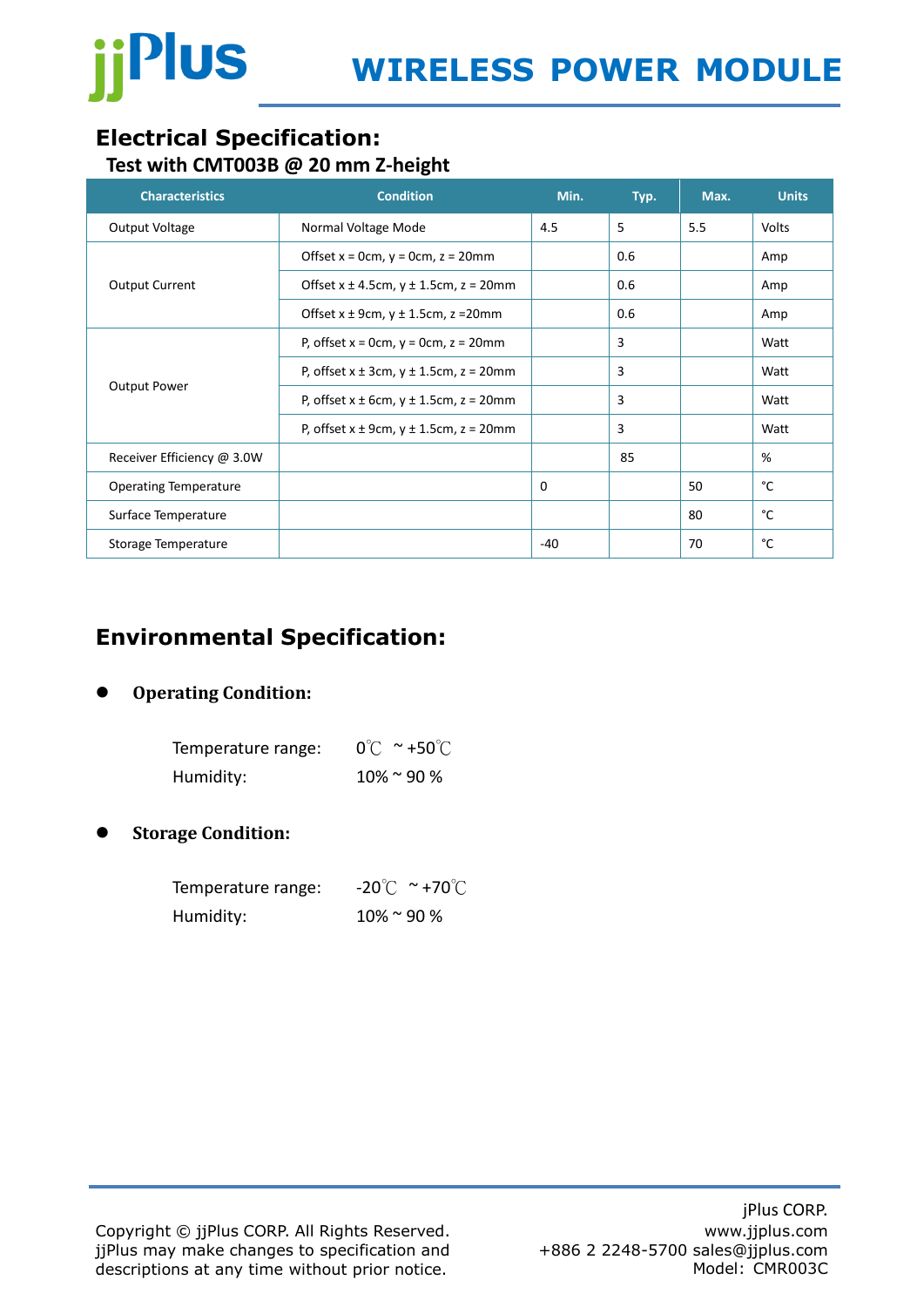

#### **Electrical Specification: Test with CMT003B @ 20 mm Z-height**

| <b>Characteristics</b>       | <b>Condition</b>                                    | Min.  | Typ. | Max. | <b>Units</b> |
|------------------------------|-----------------------------------------------------|-------|------|------|--------------|
| Output Voltage               | Normal Voltage Mode                                 | 4.5   | 5    | 5.5  | <b>Volts</b> |
|                              | Offset $x = 0$ cm, $y = 0$ cm, $z = 20$ mm          |       | 0.6  |      | Amp          |
| <b>Output Current</b>        | Offset $x \pm 4.5$ cm, $y \pm 1.5$ cm, $z = 20$ mm  |       | 0.6  |      | Amp          |
|                              | Offset $x \pm 9$ cm, $y \pm 1.5$ cm, z = 20mm       |       | 0.6  |      | Amp          |
| <b>Output Power</b>          | P, offset $x = 0$ cm, $y = 0$ cm, $z = 20$ mm       |       | 3    |      | Watt         |
|                              | P, offset $x \pm 3$ cm, $y \pm 1.5$ cm, $z = 20$ mm |       | 3    |      | Watt         |
|                              | P, offset $x \pm 6$ cm, $y \pm 1.5$ cm, $z = 20$ mm |       | 3    |      | Watt         |
|                              | P, offset $x \pm 9$ cm, $y \pm 1.5$ cm, $z = 20$ mm |       | 3    |      | Watt         |
| Receiver Efficiency @ 3.0W   |                                                     |       | 85   |      | %            |
| <b>Operating Temperature</b> |                                                     | 0     |      | 50   | °C           |
| Surface Temperature          |                                                     |       |      | 80   | °C           |
| Storage Temperature          |                                                     | $-40$ |      | 70   | °C           |

#### **Environmental Specification:**

#### ⚫ **Operating Condition:**

| Temperature range: | $0^{\circ}$ $\sim$ +50 $^{\circ}$ $\sim$ |
|--------------------|------------------------------------------|
| Humidity:          | $10\%$ ~ 90 %                            |

⚫ **Storage Condition:**

| Temperature range: | $-20^{\circ}$ C ~ +70 $^{\circ}$ C |
|--------------------|------------------------------------|
| Humidity:          | $10\%$ ~ 90 %                      |